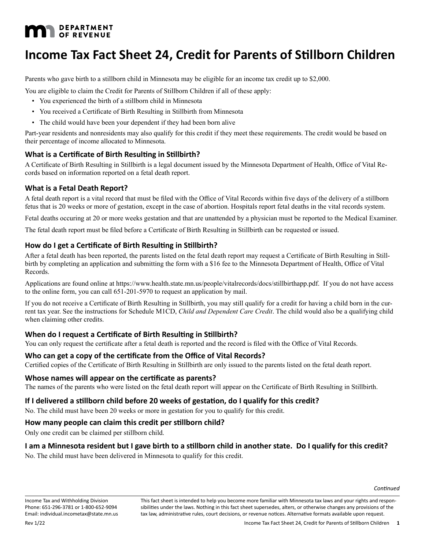# **MAN** DEPARTMENT

## **Income Tax Fact Sheet 24, Credit for Parents of Stillborn Children**

Parents who gave birth to a stillborn child in Minnesota may be eligible for an income tax credit up to \$2,000.

You are eligible to claim the Credit for Parents of Stillborn Children if all of these apply:

- You experienced the birth of a stillborn child in Minnesota
- You received a Certificate of Birth Resulting in Stillbirth from Minnesota
- The child would have been your dependent if they had been born alive

Part-year residents and nonresidents may also qualify for this credit if they meet these requirements. The credit would be based on their percentage of income allocated to Minnesota.

## **What is a Certificate of Birth Resulting in Stillbirth?**

A Certificate of Birth Resulting in Stillbirth is a legal document issued by the Minnesota Department of Health, Office of Vital Records based on information reported on a fetal death report.

## **What is a Fetal Death Report?**

A fetal death report is a vital record that must be filed with the Office of Vital Records within five days of the delivery of a stillborn fetus that is 20 weeks or more of gestation, except in the case of abortion. Hospitals report fetal deaths in the vital records system.

Fetal deaths occuring at 20 or more weeks gestation and that are unattended by a physician must be reported to the Medical Examiner.

The fetal death report must be filed before a Certificate of Birth Resulting in Stillbirth can be requested or issued.

## **How do I get a Certificate of Birth Resulting in Stillbirth?**

After a fetal death has been reported, the parents listed on the fetal death report may request a Certificate of Birth Resulting in Stillbirth by completing an application and submitting the form with a \$16 fee to the Minnesota Department of Health, Office of Vital Records.

Applications are found online at https://www.health.state.mn.us/people/vitalrecords/docs/stillbirthapp.pdf. If you do not have access to the online form, you can call 651-201-5970 to request an application by mail.

If you do not receive a Certificate of Birth Resulting in Stillbirth, you may still qualify for a credit for having a child born in the current tax year. See the instructions for Schedule M1CD, *Child and Dependent Care Credit*. The child would also be a qualifying child when claiming other credits.

## **When do I request a Certificate of Birth Resulting in Stillbirth?**

You can only request the certificate after a fetal death is reported and the record is filed with the Office of Vital Records.

## **Who can get a copy of the certificate from the Office of Vital Records?**

Certified copies of the Certificate of Birth Resulting in Stillbirth are only issued to the parents listed on the fetal death report.

### **Whose names will appear on the certificate as parents?**

The names of the parents who were listed on the fetal death report will appear on the Certificate of Birth Resulting in Stillbirth.

## **If I delivered a stillborn child before 20 weeks of gestation, do I qualify for this credit?**

No. The child must have been 20 weeks or more in gestation for you to qualify for this credit.

## **How many people can claim this credit per stillborn child?**

Only one credit can be claimed per stillborn child.

## **I am a Minnesota resident but I gave birth to a stillborn child in another state. Do I qualify for this credit?**

No. The child must have been delivered in Minnesota to qualify for this credit.